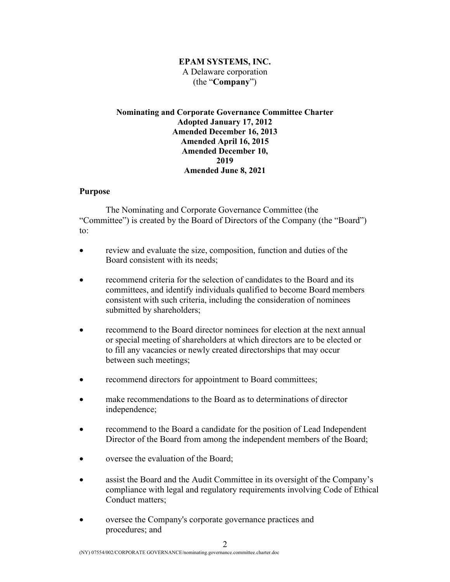## **EPAM SYSTEMS, INC.** A Delaware corporation (the "**Company**")

## **Nominating and Corporate Governance Committee Charter Adopted January 17, 2012 Amended December 16, 2013 Amended April 16, 2015 Amended December 10, 2019 Amended June 8, 2021**

## **Purpose**

The Nominating and Corporate Governance Committee (the "Committee") is created by the Board of Directors of the Company (the "Board") to:

- review and evaluate the size, composition, function and duties of the Board consistent with its needs;
- recommend criteria for the selection of candidates to the Board and its committees, and identify individuals qualified to become Board members consistent with such criteria, including the consideration of nominees submitted by shareholders;
- recommend to the Board director nominees for election at the next annual or special meeting of shareholders at which directors are to be elected or to fill any vacancies or newly created directorships that may occur between such meetings;
- recommend directors for appointment to Board committees;
- make recommendations to the Board as to determinations of director independence;
- recommend to the Board a candidate for the position of Lead Independent Director of the Board from among the independent members of the Board;
- oversee the evaluation of the Board;
- assist the Board and the Audit Committee in its oversight of the Company's compliance with legal and regulatory requirements involving Code of Ethical Conduct matters;
- oversee the Company's corporate governance practices and procedures; and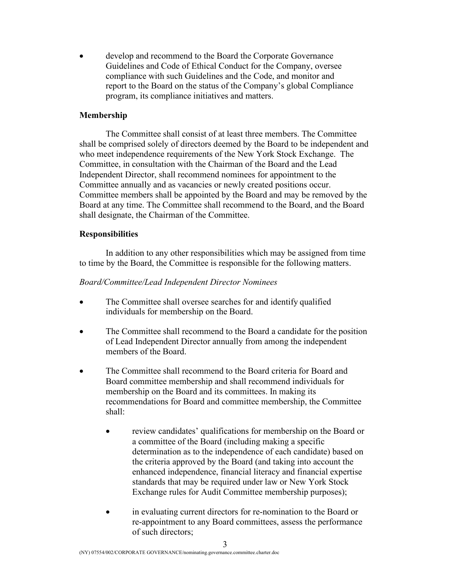develop and recommend to the Board the Corporate Governance Guidelines and Code of Ethical Conduct for the Company, oversee compliance with such Guidelines and the Code, and monitor and report to the Board on the status of the Company's global Compliance program, its compliance initiatives and matters.

## **Membership**

The Committee shall consist of at least three members. The Committee shall be comprised solely of directors deemed by the Board to be independent and who meet independence requirements of the New York Stock Exchange. The Committee, in consultation with the Chairman of the Board and the Lead Independent Director, shall recommend nominees for appointment to the Committee annually and as vacancies or newly created positions occur. Committee members shall be appointed by the Board and may be removed by the Board at any time. The Committee shall recommend to the Board, and the Board shall designate, the Chairman of the Committee.

### **Responsibilities**

In addition to any other responsibilities which may be assigned from time to time by the Board, the Committee is responsible for the following matters.

#### *Board/Committee/Lead Independent Director Nominees*

- The Committee shall oversee searches for and identify qualified individuals for membership on the Board.
- The Committee shall recommend to the Board a candidate for the position of Lead Independent Director annually from among the independent members of the Board.
- The Committee shall recommend to the Board criteria for Board and Board committee membership and shall recommend individuals for membership on the Board and its committees. In making its recommendations for Board and committee membership, the Committee shall:
	- review candidates' qualifications for membership on the Board or a committee of the Board (including making a specific determination as to the independence of each candidate) based on the criteria approved by the Board (and taking into account the enhanced independence, financial literacy and financial expertise standards that may be required under law or New York Stock Exchange rules for Audit Committee membership purposes);
	- in evaluating current directors for re-nomination to the Board or re-appointment to any Board committees, assess the performance of such directors;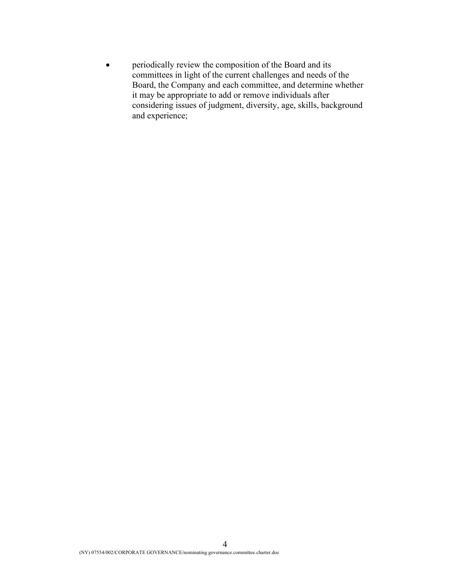• periodically review the composition of the Board and its committees in light of the current challenges and needs of the Board, the Company and each committee, and determine whether it may be appropriate to add or remove individuals after considering issues of judgment, diversity, age, skills, background and experience;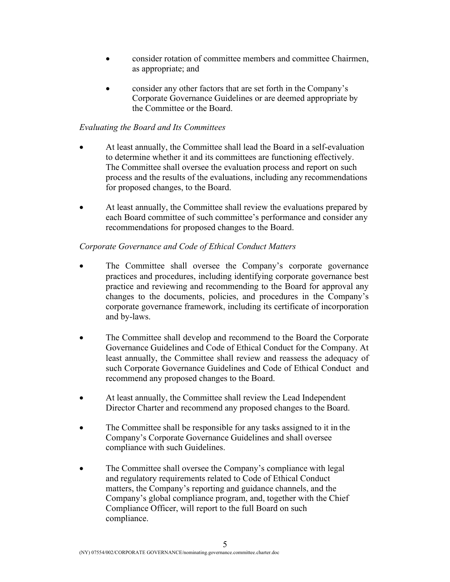- consider rotation of committee members and committee Chairmen, as appropriate; and
- consider any other factors that are set forth in the Company's Corporate Governance Guidelines or are deemed appropriate by the Committee or the Board.

# *Evaluating the Board and Its Committees*

- At least annually, the Committee shall lead the Board in a self-evaluation to determine whether it and its committees are functioning effectively. The Committee shall oversee the evaluation process and report on such process and the results of the evaluations, including any recommendations for proposed changes, to the Board.
- At least annually, the Committee shall review the evaluations prepared by each Board committee of such committee's performance and consider any recommendations for proposed changes to the Board.

## *Corporate Governance and Code of Ethical Conduct Matters*

- The Committee shall oversee the Company's corporate governance practices and procedures, including identifying corporate governance best practice and reviewing and recommending to the Board for approval any changes to the documents, policies, and procedures in the Company's corporate governance framework, including its certificate of incorporation and by-laws.
- The Committee shall develop and recommend to the Board the Corporate Governance Guidelines and Code of Ethical Conduct for the Company. At least annually, the Committee shall review and reassess the adequacy of such Corporate Governance Guidelines and Code of Ethical Conduct and recommend any proposed changes to the Board.
- At least annually, the Committee shall review the Lead Independent Director Charter and recommend any proposed changes to the Board.
- The Committee shall be responsible for any tasks assigned to it in the Company's Corporate Governance Guidelines and shall oversee compliance with such Guidelines.
- The Committee shall oversee the Company's compliance with legal and regulatory requirements related to Code of Ethical Conduct matters, the Company's reporting and guidance channels, and the Company's global compliance program, and, together with the Chief Compliance Officer, will report to the full Board on such compliance.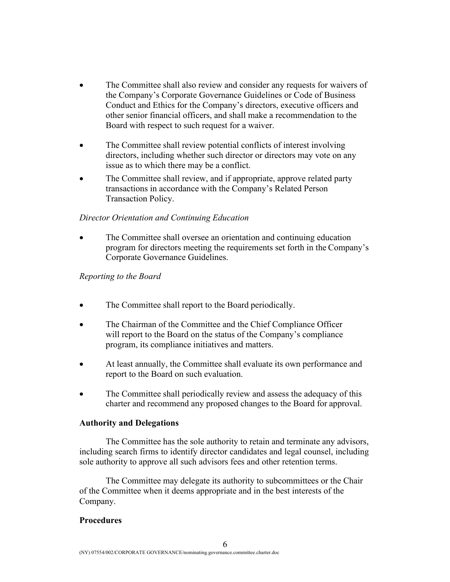- The Committee shall also review and consider any requests for waivers of the Company's Corporate Governance Guidelines or Code of Business Conduct and Ethics for the Company's directors, executive officers and other senior financial officers, and shall make a recommendation to the Board with respect to such request for a waiver.
- The Committee shall review potential conflicts of interest involving directors, including whether such director or directors may vote on any issue as to which there may be a conflict.
- The Committee shall review, and if appropriate, approve related party transactions in accordance with the Company's Related Person Transaction Policy.

## *Director Orientation and Continuing Education*

• The Committee shall oversee an orientation and continuing education program for directors meeting the requirements set forth in the Company's Corporate Governance Guidelines.

### *Reporting to the Board*

- The Committee shall report to the Board periodically.
- The Chairman of the Committee and the Chief Compliance Officer will report to the Board on the status of the Company's compliance program, its compliance initiatives and matters.
- At least annually, the Committee shall evaluate its own performance and report to the Board on such evaluation.
- The Committee shall periodically review and assess the adequacy of this charter and recommend any proposed changes to the Board for approval.

### **Authority and Delegations**

The Committee has the sole authority to retain and terminate any advisors, including search firms to identify director candidates and legal counsel, including sole authority to approve all such advisors fees and other retention terms.

The Committee may delegate its authority to subcommittees or the Chair of the Committee when it deems appropriate and in the best interests of the Company.

### **Procedures**